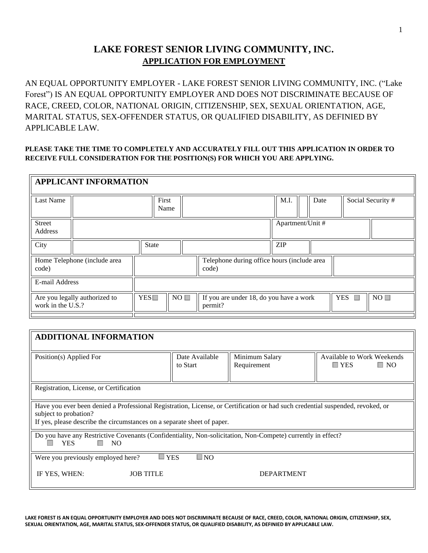## **LAKE FOREST SENIOR LIVING COMMUNITY, INC. APPLICATION FOR EMPLOYMENT**

AN EQUAL OPPORTUNITY EMPLOYER - LAKE FOREST SENIOR LIVING COMMUNITY, INC. ("Lake Forest") IS AN EQUAL OPPORTUNITY EMPLOYER AND DOES NOT DISCRIMINATE BECAUSE OF RACE, CREED, COLOR, NATIONAL ORIGIN, CITIZENSHIP, SEX, SEXUAL ORIENTATION, AGE, MARITAL STATUS, SEX-OFFENDER STATUS, OR QUALIFIED DISABILITY, AS DEFINIED BY APPLICABLE LAW.

#### **PLEASE TAKE THE TIME TO COMPLETELY AND ACCURATELY FILL OUT THIS APPLICATION IN ORDER TO RECEIVE FULL CONSIDERATION FOR THE POSITION(S) FOR WHICH YOU ARE APPLYING.**

|                   | <b>APPLICANT INFORMATION</b>  |              |                                                      |                                                    |            |  |                  |            |                   |
|-------------------|-------------------------------|--------------|------------------------------------------------------|----------------------------------------------------|------------|--|------------------|------------|-------------------|
| Last Name         |                               | First        | Name                                                 |                                                    | M.I.       |  | Date             |            | Social Security # |
| Street<br>Address |                               |              |                                                      |                                                    |            |  | Apartment/Unit # |            |                   |
| City              |                               | <b>State</b> |                                                      |                                                    | <b>ZIP</b> |  |                  |            |                   |
| code)             | Home Telephone (include area  |              | Telephone during office hours (include area<br>code) |                                                    |            |  |                  |            |                   |
| E-mail Address    |                               |              |                                                      |                                                    |            |  |                  |            |                   |
| work in the U.S.? | Are you legally authorized to | YES          | $NO \Box$                                            | If you are under 18, do you have a work<br>permit? |            |  |                  | <b>YES</b> | NO                |
|                   |                               |              |                                                      |                                                    |            |  |                  |            |                   |

| <b>ADDITIONAL INFORMATION</b>                                                                                                                                                                                                      |                            |                               |                                                       |  |  |  |  |
|------------------------------------------------------------------------------------------------------------------------------------------------------------------------------------------------------------------------------------|----------------------------|-------------------------------|-------------------------------------------------------|--|--|--|--|
| Position(s) Applied For                                                                                                                                                                                                            | Date Available<br>to Start | Minimum Salary<br>Requirement | Available to Work Weekends<br>$\Box$ YES<br>$\Box$ No |  |  |  |  |
| Registration, License, or Certification                                                                                                                                                                                            |                            |                               |                                                       |  |  |  |  |
| Have you ever been denied a Professional Registration, License, or Certification or had such credential suspended, revoked, or<br>subject to probation?<br>If yes, please describe the circumstances on a separate sheet of paper. |                            |                               |                                                       |  |  |  |  |
| Do you have any Restrictive Covenants (Confidentiality, Non-solicitation, Non-Compete) currently in effect?<br><b>YES</b><br>NO.<br>u.                                                                                             |                            |                               |                                                       |  |  |  |  |
| <b>YES</b><br>$\square$ NO<br>m.<br>Were you previously employed here?                                                                                                                                                             |                            |                               |                                                       |  |  |  |  |
| IF YES, WHEN:<br><b>DEPARTMENT</b><br><b>JOB TITLE</b>                                                                                                                                                                             |                            |                               |                                                       |  |  |  |  |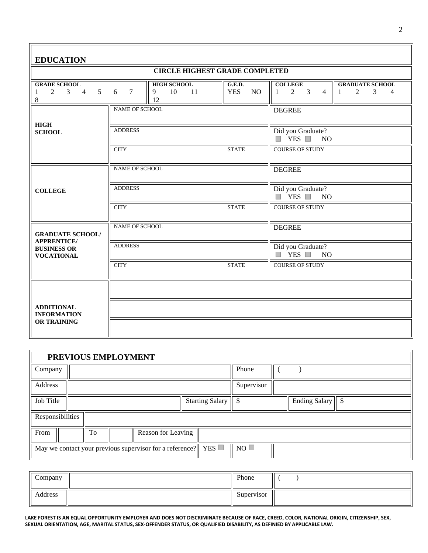| <b>EDUCATION</b>                                                                  |                       |                                           |                                              |                                                                 |                                                                                 |  |  |  |  |
|-----------------------------------------------------------------------------------|-----------------------|-------------------------------------------|----------------------------------------------|-----------------------------------------------------------------|---------------------------------------------------------------------------------|--|--|--|--|
| <b>CIRCLE HIGHEST GRADE COMPLETED</b>                                             |                       |                                           |                                              |                                                                 |                                                                                 |  |  |  |  |
| <b>GRADE SCHOOL</b><br>5 <sup>5</sup><br>2<br>3<br>$\overline{4}$<br>1<br>$\,8\,$ | $7\phantom{.0}$<br>6  | <b>HIGH SCHOOL</b><br>10<br>11<br>9<br>12 | G.E.D.<br><b>YES</b><br>NO.                  | <b>COLLEGE</b><br>$2 \quad 3$<br>$\overline{4}$<br>$\mathbf{1}$ | <b>GRADUATE SCHOOL</b><br>$\overline{2}$<br>3<br>$\mathbf{1}$<br>$\overline{4}$ |  |  |  |  |
| <b>HIGH</b>                                                                       | <b>NAME OF SCHOOL</b> |                                           |                                              | <b>DEGREE</b>                                                   |                                                                                 |  |  |  |  |
| <b>SCHOOL</b>                                                                     | <b>ADDRESS</b>        |                                           | Did you Graduate?<br>$\Box$ YES $\Box$<br>NO |                                                                 |                                                                                 |  |  |  |  |
|                                                                                   | <b>CITY</b>           |                                           | <b>STATE</b>                                 | <b>COURSE OF STUDY</b>                                          |                                                                                 |  |  |  |  |
|                                                                                   | <b>NAME OF SCHOOL</b> |                                           |                                              | <b>DEGREE</b>                                                   |                                                                                 |  |  |  |  |
| <b>COLLEGE</b>                                                                    | <b>ADDRESS</b>        |                                           |                                              | Did you Graduate?<br>$\Box$ YES $\Box$<br>NO                    |                                                                                 |  |  |  |  |
|                                                                                   | <b>CITY</b>           |                                           | <b>STATE</b>                                 | <b>COURSE OF STUDY</b>                                          |                                                                                 |  |  |  |  |
| <b>GRADUATE SCHOOL/</b><br><b>APPRENTICE/</b>                                     | <b>NAME OF SCHOOL</b> |                                           |                                              | <b>DEGREE</b>                                                   |                                                                                 |  |  |  |  |
| <b>BUSINESS OR</b><br><b>VOCATIONAL</b>                                           | <b>ADDRESS</b>        |                                           |                                              | Did you Graduate?<br>$\Box$ YES $\Box$<br><b>NO</b>             |                                                                                 |  |  |  |  |
|                                                                                   | <b>CITY</b>           |                                           | <b>STATE</b>                                 | <b>COURSE OF STUDY</b>                                          |                                                                                 |  |  |  |  |
|                                                                                   |                       |                                           |                                              |                                                                 |                                                                                 |  |  |  |  |
| <b>ADDITIONAL</b><br><b>INFORMATION</b>                                           |                       |                                           |                                              |                                                                 |                                                                                 |  |  |  |  |
| <b>OR TRAINING</b>                                                                |                       |                                           |                                              |                                                                 |                                                                                 |  |  |  |  |

|                                                                          | PREVIOUS EMPLOYMENT |    |  |                    |  |                        |            |  |                      |  |
|--------------------------------------------------------------------------|---------------------|----|--|--------------------|--|------------------------|------------|--|----------------------|--|
| Company                                                                  |                     |    |  |                    |  |                        | Phone      |  |                      |  |
| Address                                                                  |                     |    |  |                    |  |                        | Supervisor |  |                      |  |
| Job Title                                                                |                     |    |  |                    |  | <b>Starting Salary</b> | 'S         |  | <b>Ending Salary</b> |  |
| Responsibilities                                                         |                     |    |  |                    |  |                        |            |  |                      |  |
| From                                                                     |                     | To |  | Reason for Leaving |  |                        |            |  |                      |  |
| May we contact your previous supervisor for a reference? $  $ YES $\Box$ |                     |    |  |                    |  |                        | NO         |  |                      |  |

| $\epsilon$<br>Company | Phone      |  |
|-----------------------|------------|--|
| Address               | Supervisor |  |

**LAKE FOREST IS AN EQUAL OPPORTUNITY EMPLOYER AND DOES NOT DISCRIMINATE BECAUSE OF RACE, CREED, COLOR, NATIONAL ORIGIN, CITIZENSHIP, SEX, SEXUAL ORIENTATION, AGE, MARITAL STATUS, SEX-OFFENDER STATUS, OR QUALIFIED DISABILITY, AS DEFINIED BY APPLICABLE LAW.**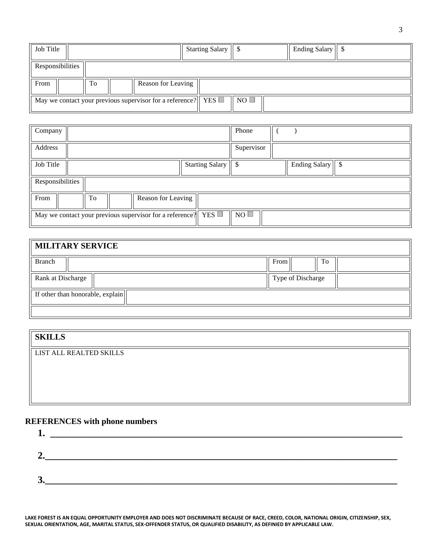| Job Title        |    |                                                                                 | Starting Salary   \$ |           | Ending Salary   \$ |  |
|------------------|----|---------------------------------------------------------------------------------|----------------------|-----------|--------------------|--|
| Responsibilities |    |                                                                                 |                      |           |                    |  |
| From             | To | Reason for Leaving                                                              |                      |           |                    |  |
|                  |    | May we contact your previous supervisor for a reference? $\parallel$ YES $\Box$ |                      | $NO \Box$ |                    |  |

| Company                                                                         |  |    |  |                    |  |                      | Phone |            |                    |  |  |
|---------------------------------------------------------------------------------|--|----|--|--------------------|--|----------------------|-------|------------|--------------------|--|--|
| Address                                                                         |  |    |  |                    |  |                      |       | Supervisor |                    |  |  |
| Job Title                                                                       |  |    |  |                    |  | Starting Salary   \$ |       |            | Ending Salary   \$ |  |  |
| Responsibilities                                                                |  |    |  |                    |  |                      |       |            |                    |  |  |
| From                                                                            |  | To |  | Reason for Leaving |  |                      |       |            |                    |  |  |
| May we contact your previous supervisor for a reference? $\parallel$ YES $\Box$ |  |    |  |                    |  | $NO$ $\Box$          |       |            |                    |  |  |

| MILITARY SERVICE                 |                   |    |  |  |  |  |
|----------------------------------|-------------------|----|--|--|--|--|
| <b>Branch</b>                    | From              | Tо |  |  |  |  |
| Rank at Discharge                | Type of Discharge |    |  |  |  |  |
| If other than honorable, explain |                   |    |  |  |  |  |
|                                  |                   |    |  |  |  |  |

# **SKILLS**

LIST ALL REALTED SKILLS

### **REFERENCES with phone numbers**

**LAKE FOREST IS AN EQUAL OPPORTUNITY EMPLOYER AND DOES NOT DISCRIMINATE BECAUSE OF RACE, CREED, COLOR, NATIONAL ORIGIN, CITIZENSHIP, SEX, SEXUAL ORIENTATION, AGE, MARITAL STATUS, SEX-OFFENDER STATUS, OR QUALIFIED DISABILITY, AS DEFINIED BY APPLICABLE LAW.**